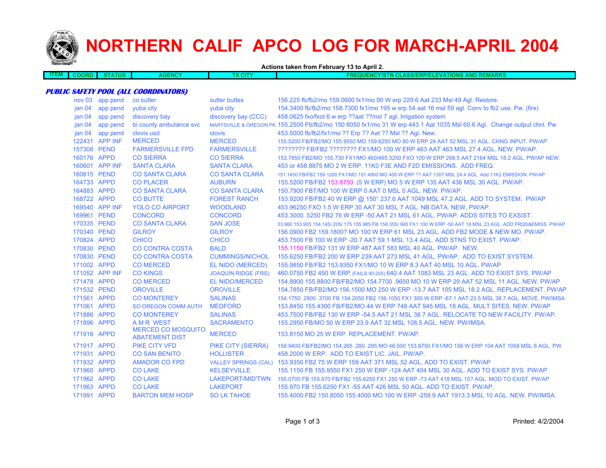

# **NORTHERN CALIF APCO LOG FOR MARCH-APRIL 2004**

**Actions taken from February 13 to April 2.**

| ___<br>≕ш | חאר | <b>TUS</b> | 13 I - | $\sim$<br><b>CIT</b><br>^ | <b>JEMADY</b><br>TIONS<br>ווכ<br>w<br>AND<br>a a m<br>.<br>45 I N<br>. .<br>m<br>.<br>. <i>. .</i><br>. |
|-----------|-----|------------|--------|---------------------------|---------------------------------------------------------------------------------------------------------|
|           |     |            |        |                           |                                                                                                         |

#### **PUBLIC SAFETY POOL (ALL COORDINATORS)**

|                   | nov 03 app pend | co sutter                                          | sutter buttes              | 156.225 fb/fb2/mo 159.0600 fx1/mo 90 W erp 229.6 Aat 233 MsI 49 Agl. Restore.                                          |
|-------------------|-----------------|----------------------------------------------------|----------------------------|------------------------------------------------------------------------------------------------------------------------|
| jan <sub>04</sub> | app pend        | vuba city                                          | vuba city                  | 154.3400 fb/fb2/mo 158.7300 fx1/mo 195 w erp 54 aat 16 msl 59 agl. Conv to fb2 use. Pw. (fire)                         |
| jan <sub>04</sub> | app pend        | discovery bay                                      | discovery bay (CCC)        | 458.0625 fxo/fxot 6 w erp ??aat ??msl 7 agl. Irrigation system                                                         |
| jan <sub>04</sub> | app pend        | bi county ambulance svc                            |                            | MARYSVILLE & OREGON PK 155.2500 Fb/fb2/mo 150.8050 fx1/mo 31 W erp 443.1 Aat 1035 Msl 60.6 Agl. Change output chnl. Pw |
| jan 04            | app pend        | clovis usd                                         | clovis                     | 453.5000 fb/fb2/fx1/mo ?? Erp ?? Aat ?? Msl ?? Agl. New.                                                               |
|                   | 122431 APP INF  | <b>MERCED</b>                                      | <b>MERCED</b>              | 155,5200 FB/FB2/MO 155,9550 MO 159,8250 MO 80 W ERP 24 AAT 52 MSL 31 AGL, CHNG INPUT, PW/AP                            |
| 157308 PEND       |                 | <b>FARMERSVILLE FPD</b>                            | <b>FARMERSVILLE</b>        | ???????? FB/FB2 ???????? FX1/MO 100 W ERP 463 AAT 463 MSL 27.4 AGL. NEW. PW/AP.                                        |
| 160176 APPD       |                 | <b>CO SIERRA</b>                                   | <b>CO SIERRA</b>           | 153.7850 FB2/MO 155.730 FX1/MO 460/465.3250 FXO 100 W ERP 268.5 AAT 2164 MSL 18.2 AGL. PW/AP NEW.                      |
|                   | 160601 APP INF  | <b>SANTA CLARA</b>                                 | <b>SANTA CLARA</b>         | 453 or 458,8875 MO 2 W ERP, 11K0 F3E AND F2D EMISSIONS. ADD FREQ.                                                      |
| 160615 PEND       |                 | <b>CO SANTA CLARA</b>                              | <b>CO SANTA CLARA</b>      | 151.1450 FB/FB2 159.1200 FX1/MO 151.4900 MO 400 W ERP ?? AAT 1307 MSL 24.4 AGL. Add 11K2 EMISSION. PW/AP               |
| 164733 APPD       |                 | <b>CO PLACER</b>                                   | <b>AUBURN</b>              | 155.5200 FB/FB2 153.8750 (5 W ERP) MO 5 W ERP 135 AAT 436 MSL 30 AGL. PW/AP.                                           |
| 164883 APPD       |                 | <b>CO SANTA CLARA</b>                              | <b>CO SANTA CLARA</b>      | 150,7900 FBT/MO 100 W ERP 0 AAT 0 MSL 0 AGL, NEW, PW/AP.                                                               |
| 168722 APPD       |                 | <b>CO BUTTE</b>                                    | <b>FOREST RANCH</b>        | 153.9200 FB/FB2 40 W ERP @ 150° 237.6 AAT 1049 MSL 47.2 AGL. ADD TO SYSTEM. PW/AP                                      |
|                   | 169540 APP INF  | <b>YOLO CO AIRPORT</b>                             | <b>WOODLAND</b>            | 453,96250 FXO 1.5 W ERP 30 AAT 30 MSL 7 AGL, NB DATA, NEW, PW/AP.                                                      |
| 169961 PEND       |                 | <b>CONCORD</b>                                     | <b>CONCORD</b>             | 453,3000 5250 FB2 76 W ERP -50 AAT 21 MSL 61 AGL. PW/AP, ADDS SITES TO EXSIST.                                         |
| 170335 PEND       |                 | <b>CO SANTA CLARA</b>                              | <b>SAN JOSE</b>            | 33,960 153,905 154,145/.205/.175 155,985 FB 158,355/.995 FX1 100 W ERP -50 AAT 18 MSL 23 AGL, ADD FRQS&EMISS, PW/AP    |
| 170340 PEND       |                 | <b>GILROY</b>                                      | <b>GILROY</b>              | 156,0900 FB2 159,1800? MO 100 W ERP 61 MSL 23 AGL, ADD FB2 MODE & NEW MO, PW/AP,                                       |
| 170824 APPD       |                 | <b>CHICO</b>                                       | <b>CHICO</b>               | 453.7500 FB 100 W ERP - 20.7 AAT 59.1 MSL 13.4 AGL, ADD STNS TO EXIST, PW/AP.                                          |
| 170830 PEND       |                 | <b>CO CONTRA COSTA</b>                             | <b>BALD</b>                | 155,1150 FB/FB2 131 W ERP 487 AAT 583 MSL 40 AGL, PW/AP, NEW.                                                          |
| 170830 PEND       |                 | <b>CO CONTRA COSTA</b>                             | <b>CUMMINGS/NICHOL</b>     | 155,6250 FB/FB2 200 W ERP 239 AAT 273 MSL 41 AGL, PW/AP. ADD TO EXIST SYSTEM.                                          |
| 171002 APPD       |                 | <b>CO MERCED</b>                                   | EL NIDO (MERCED)           | 155,9850 FB/FB2 153,9350 FX1/MO 10 W ERP 8.3 AAT 40 MSL 10 AGL, PW/AP                                                  |
|                   | 171052 APP INF  | <b>CO KINGS</b>                                    | <b>JOAQUIN RIDGE (FRS)</b> | 460.0750 FB2 450 W ERP (FAILS 90.205) 640.4 AAT 1083 MSL 23 AGL. ADD TO EXIST SYS. PW/AP                               |
| 171478 APPD       |                 | <b>CO MERCED</b>                                   | <b>EL NIDO/MERCED</b>      | 154,8900 155,8800 FB/FB2/MO 154,7700 ,9650 MO 10 W ERP 29 AAT 52 MSL 11 AGL, NEW, PW/AP                                |
| 171532 PEND       |                 | <b>OROVILLE</b>                                    | <b>OROVILLE</b>            | 154.7850 FB/FB2/MO 156.1500 MO 250 W ERP -13.7 AAT 105 MSL 18.2 AGL, REPLACEMENT, PW/AP                                |
| 171561 APPD       |                 | <b>CO MONTEREY</b>                                 | <b>SALINAS</b>             | 154,1750,2800,3700 FB 154,2050 FB2 156,1050 FX1 300 W ERP -67,1 AAT 23.5 MSL 38.7 AGL, MOVE, PW/IMSA                   |
| 171061 APPD       |                 | <b>SO OREGON COMM AUTH</b>                         | <b>MEDFORD</b>             | 153,8450 155,4300 FB/FB2/MO 44 W ERP 748 AAT 945 MSL 18 AGL, MULT SITES, NEW, PW/AP                                    |
| 171886 APPD       |                 | <b>CO MONTEREY</b>                                 | <b>SALINAS</b>             | 453.7500 FB/FB2 130 W ERP -54.5 AAT 21 MSL 38.7 AGL. RELOCATE TO NEW FACILITY. PW/AP.                                  |
| 171896 APPD       |                 | <b>AMR WEST</b>                                    | <b>SACRAMENTO</b>          | 155,2950 FB/MO 50 W ERP 23.9 AAT 32.MSL 108.5 AGL, NEW, PW/IMSA.                                                       |
| 171916 APPD       |                 | <b>MERCED CO MOSQUITO</b><br><b>ABATEMENT DIST</b> | <b>MERCED</b>              | 153.8150 MO 25 W ERP. REPLACEMENT. PW/AP.                                                                              |
| 171917 APPD       |                 | <b>PIKE CITY VFD</b>                               | <b>PIKE CITY (SIERRA)</b>  | 158.9400 FB/FB2/MO 154.265 .280 .295 MO 46.500 153.8750 FX1/MO 156 W ERP 104 AAT 1058 MSL 8 AGL. PW                    |
| 171931 APPD       |                 | <b>CO SAN BENITO</b>                               | <b>HOLLISTER</b>           | 458.2000 W ERP. ADD TO EXIST LIC. JAIL. PW/AP.                                                                         |
| 171932 APPD       |                 | <b>AMADOR CO FPD</b>                               |                            | VALLEY SPRINGS (CAL) 153.9350 FB2 75 W ERP 159 AAT 371 MSL 52 AGL. ADD TO EXIST. PW/AP                                 |
| 171960 APPD       |                 | <b>CO LAKE</b>                                     | <b>KELSEYVILLE</b>         | 155,1150 FB 155,9550 FX1 250 W ERP -124 AAT 404 MSL 30 AGL. ADD TO EXIST SYS, PW/AP                                    |
| 171962 APPD       |                 | <b>CO LAKE</b>                                     | LAKEPORT/MID'TWN           | 155,0700 FB 155,970 FB/FB2 155,6250 FX1 250 W ERP -73 AAT 418 MSL 15? AGL, MOD TO EXIST, PW/AP                         |
| 171963 APPD       |                 | <b>CO LAKE</b>                                     | <b>LAKEPORT</b>            | 155.970 FB 155.6250 FX1 -55 AAT 426 MSL 50 AGL. ADD TO EXIST. PW/AP.                                                   |
| 171991 APPD       |                 | <b>BARTON MEM HOSP</b>                             | <b>SO LK TAHOE</b>         | 155.4000 FB2 150.8050 155.4000 MO 100 W ERP -259.9 AAT 1913.3 MSL 10 AGL. NEW. PW/IMSA.                                |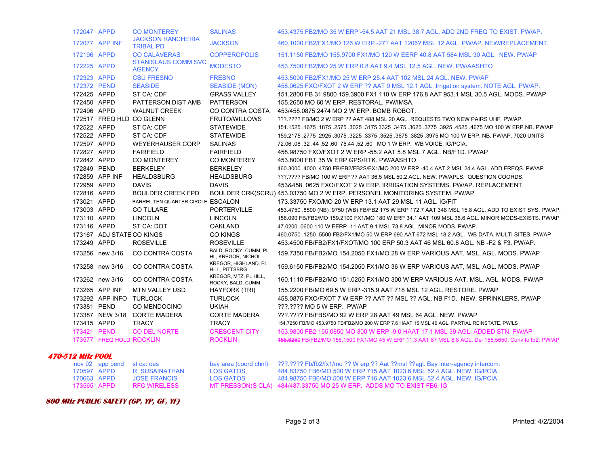|                         | 172047 APPD |                           | <b>CO MONTEREY</b>                           | <b>SALINAS</b>                              | 453,4375 FB2/MO 35 W ERP -54.5 AAT 21 MSL 38.7 AGL, ADD 2ND FREQ TO EXIST, PW/AP.                      |
|-------------------------|-------------|---------------------------|----------------------------------------------|---------------------------------------------|--------------------------------------------------------------------------------------------------------|
|                         |             | 172077 APP INF            | <b>JACKSON RANCHERIA</b><br><b>TRIBAL PD</b> | <b>JACKSON</b>                              | 460.1000 FB2/FX1/MO 126 W ERP -27? AAT 1206? MSL 12 AGL, PW/AP, NEW/REPLACEMENT.                       |
|                         | 172196 APPD |                           | <b>CO CALAVERAS</b>                          | <b>COPPEROPOLIS</b>                         | 151,1150 FB2/MO 155,9700 FX1/MO 120 W EERP 40.8 AAT 584 MSL 30 AGL. NEW, PW/AP                         |
|                         | 172225 APPD |                           | <b>STANISLAUS COMM SVC</b><br><b>AGENCY</b>  | <b>MODESTO</b>                              | 453.7500 FB2/MO 25 W ERP 0.8 AAT 9.4 MSL 12.5 AGL. NEW. PW/AASHTO                                      |
|                         | 172323 APPD |                           | <b>CSU FRESNO</b>                            | <b>FRESNO</b>                               | 453,5000 FB2/FX1/MO 25 W ERP 25.4 AAT 102 MSL 24 AGL, NEW, PW/AP                                       |
|                         | 172372 PEND |                           | <b>SEASIDE</b>                               | <b>SEASIDE (MON)</b>                        | 458.0625 FXO/FXOT 2 W ERP ?? AAT 9 MSL 12.1 AGL. Irrigation system. NOTE AGL. PW/AP.                   |
|                         | 172425 APPD |                           | ST CA: CDF                                   | <b>GRASS VALLEY</b>                         | 151.2800 FB 31.9800 159.3900 FX1 110 W ERP 176.8 AAT 953.1 MSL 30.5 AGL. MODS. PW/AP                   |
|                         | 172450 APPD |                           | PATTERSON DIST AMB                           | PATTERSON                                   | 155.2650 MO 60 W ERP. RESTORAL. PW/IMSA.                                                               |
|                         | 172496 APPD |                           | <b>WALNUT CREEK</b>                          | CO CONTRA COSTA                             | 453/458.0875 2474 MO 2 W ERP. BOMB ROBOT.                                                              |
|                         |             |                           | 172517 FREQ HLD CO GLENN                     | <b>FRUTO/WILLOWS</b>                        | ???.???? FB/MO 2 W ERP ?? AAT 488 MSL 20 AGL. REQUESTS TWO NEW PAIRS UHF. PW/AP.                       |
|                         | 172522 APPD |                           | ST CA: CDF                                   | <b>STATEWIDE</b>                            | 151.1525 .1675 .1875 .2575 .3025 .3175 3325 .3475 .3625 .3775 .3925 .4525 .4675 MO 100 W ERP.NB. PW/AP |
|                         | 172522 APPD |                           | ST CA: CDF                                   | <b>STATEWIDE</b>                            | 159.2175 .2775 .2925 .3075 .3225 .3375 .3525 .3675 .3825 .3975 MO 100 W ERP. NB. PW/AP. 7020 UNITS     |
|                         | 172597 APPD |                           | <b>WEYERHAUSER CORP</b>                      | <b>SALINAS</b>                              | 72.06 08 32 44 52 60 75.44 52 60 MO 1 W ERP. WB VOICE IG/PCIA.                                         |
|                         | 172827 APPD |                           | <b>FAIRFIELD</b>                             | <b>FAIRFIELD</b>                            | 458.98750 FXO/FXOT 2 W ERP -55.2 AAT 5.8 MSL 7 AGL. NB/F1D. PW/AP                                      |
|                         | 172842 APPD |                           | <b>CO MONTEREY</b>                           | <b>CO MONTEREY</b>                          | 453.8000 FBT 35 W ERP GPS/RTK. PW/AASHTO                                                               |
|                         | 172849 PEND |                           | <b>BERKELEY</b>                              | <b>BERKELEY</b>                             | 460.3000 .4000 .4750 FB/FB2/FB2S/FX1/MO 200 W ERP -40.4 AAT 2 MSL 24.4 AGL. ADD FREQS. PW/AP           |
|                         |             | 172859 APP INF            | <b>HEALDSBURG</b>                            | <b>HEALDSBURG</b>                           | ???.???? FB/MO 100 W ERP ?? AAT 36.5 MSL 50.2 AGL. NEW. PW/APLS. QUESTION COORDS.                      |
|                         | 172959 APPD |                           | <b>DAVIS</b>                                 | <b>DAVIS</b>                                | 453&458, 0625 FXO/FXOT 2 W ERP, IRRIGATION SYSTEMS, PW/AP, REPLACEMENT.                                |
|                         | 172816 APPD |                           | <b>BOULDER CREEK FPD</b>                     |                                             | BOULDER CRK(SCRU) 453.03750 MO 2 W ERP. PERSONEL MONITORING SYSTEM. PW/AP                              |
|                         | 173021 APPD |                           | BARREL TEN QUARTER CIRCLE ESCALON            |                                             | 173.33750 FXO/MO 20 W ERP 13.1 AAT 29 MSL 11 AGL. IG/FIT                                               |
|                         | 173003 APPD |                           | <b>CO TULARE</b>                             | <b>PORTERVILLE</b>                          | 453.4750 .8500 (NB) .9750 (WB) FB/FB2 175 W ERP 172.7 AAT 348 MSL 15.8 AGL. ADD TO EXIST SYS. PW/AP.   |
|                         | 173110 APPD |                           | <b>LINCOLN</b>                               | <b>LINCOLN</b>                              | 156.090 FB/FB2/MO 159.2100 FX1/MO 180 W ERP 34.1 AAT 109 MSL 36.6 AGL. MINOR MODS-EXISTS. PW/AP        |
|                         | 173116 APPD |                           | ST CA: DOT                                   | <b>OAKLAND</b>                              | 47.0200 .0600 110 W EERP -11 AAT 9.1 MSL 73.8 AGL. MINOR MODS. PW/AP.                                  |
|                         |             | 173167 ADJ STATE CO KINGS |                                              | <b>CO KINGS</b>                             | 460.0750 .1250 .5500 FB2/FX1/MO 50 W ERP 690 AAT 672 MSL 18.2 AGL. WB DATA, MULTI SITES, PW/AP         |
|                         | 173249 APPD |                           | <b>ROSEVILLE</b>                             | <b>ROSEVILLE</b>                            | 453.4500 FB/FB2/FX1/FXOT/MO 100 ERP 50.3 AAT 46 MSL 60.8 AGL. NB -F2 & F3. PW/AP.                      |
|                         |             | 173256 new 3/16           | CO CONTRA COSTA                              | BALD, ROCKY, CUMM, PL<br>HL, KREGOR, NICHOL | 159.7350 FB/FB2/MO 154.2050 FX1/MO 28 W ERP VARIOUS AAT, MSL, AGL. MODS. PW/AP                         |
|                         |             | 173258 new 3/16           | CO CONTRA COSTA                              | KREGOR, HIGHLAND, PL<br>HILL, PITTSBRG      | 159.6150 FB/FB2/MO 154.2050 FX1/MO 36 W ERP VARIOUS AAT, MSL, AGL. MODS. PW/AP                         |
|                         |             | 173262 new 3/16           | CO CONTRA COSTA                              | KREGOR, MTZ, PL HILL,<br>ROCKY, BALD, CUMM  | 160.1110 FB/FB2/MO 151.0250 FX1/MO 300 W ERP VARIOUS AAT, MSL, AGL. MODS. PW/AP                        |
|                         |             | 173265 APP INF            | <b>MTN VALLEY USD</b>                        | HAYFORK (TRI)                               | 155,2200 FB/MO 69.5 W ERP -315.9 AAT 718 MSL 12 AGL, RESTORE, PW/AP                                    |
|                         |             | 173292 APP INFO TURLOCK   |                                              | <b>TURLOCK</b>                              | 458.0875 FXO/FXOT 7 W ERP ?? AAT ?? MSL ?? AGL. NB F1D. NEW. SPRINKLERS. PW/AP                         |
|                         | 173381 PEND |                           | CO MENDOCINO                                 | <b>UKIAH</b>                                | ???.???? MO 5 W ERP. PW/AP                                                                             |
|                         |             |                           | 173387 NEW 3/18 CORTE MADERA                 | <b>CORTE MADERA</b>                         | ???.???? FB/FBS/MO 92 W ERP 28 AAT 49 MSL 64 AGL. NEW. PW/AP                                           |
|                         | 173415 APPD |                           | <b>TRACY</b>                                 | <b>TRACY</b>                                | 154.7250 FB/MO 453.9750 FB/FB2/MO 200 W ERP 7.6 HAAT 15 MSL 46 AGL. PARTIAL REINSTATE. PW/LS           |
|                         | 173421 PEND |                           | CO DEL NORTE                                 | <b>CRESCENT CITY</b>                        | 153,9800 FB2 155,0850 MO 300 W ERP -9.0 HAAT 17.1 MSL 39 AGL, ADDED STN, PW/AP                         |
|                         |             | 173577 FREQ HOLD ROCKLIN  |                                              | <b>ROCKLIN</b>                              | 455.6250 FB/FB2/MO 156.1500 FX1/MO 45 W ERP 11.3 AAT 87 MSL 8.8 AGL. Del 155.5650. Conv to fb2. PW/AP  |
| <b>470-512 MHz POOL</b> |             |                           |                                              |                                             |                                                                                                        |

|             | nov 02 app pend st ca: oes |               | bay area (coord chnl) | ???.???? Fb/fb2/fx1/mo ?? W erp ?? Aat ??msl ??agl. Bay inter-agency intercom. |
|-------------|----------------------------|---------------|-----------------------|--------------------------------------------------------------------------------|
| 170597 APPD |                            | R SUSAINATHAN | LOS GATOS             | 484.83750 FB6/MO 500 W ERP 715 AAT 1023.6 MSL 52.4 AGL, NEW, IG/PCIA.          |
| 170663 APPD |                            | JOSE FRANCIS  | LOS GATOS             | 484,98750 FB6/MO 500 W ERP 716 AAT 1023.6 MSL 52.4 AGL, NEW, IG/PCIA.          |
| 173565 APPD |                            | RFC WIRFLESS  |                       | MT PRESSON(S CLA) 484/487.33750 MO 25 W ERP. ADDS MO TO EXIST FB6. IG          |

#### **800 MHz PUBLIC SAFETY (GP, YP, GF, YF)**